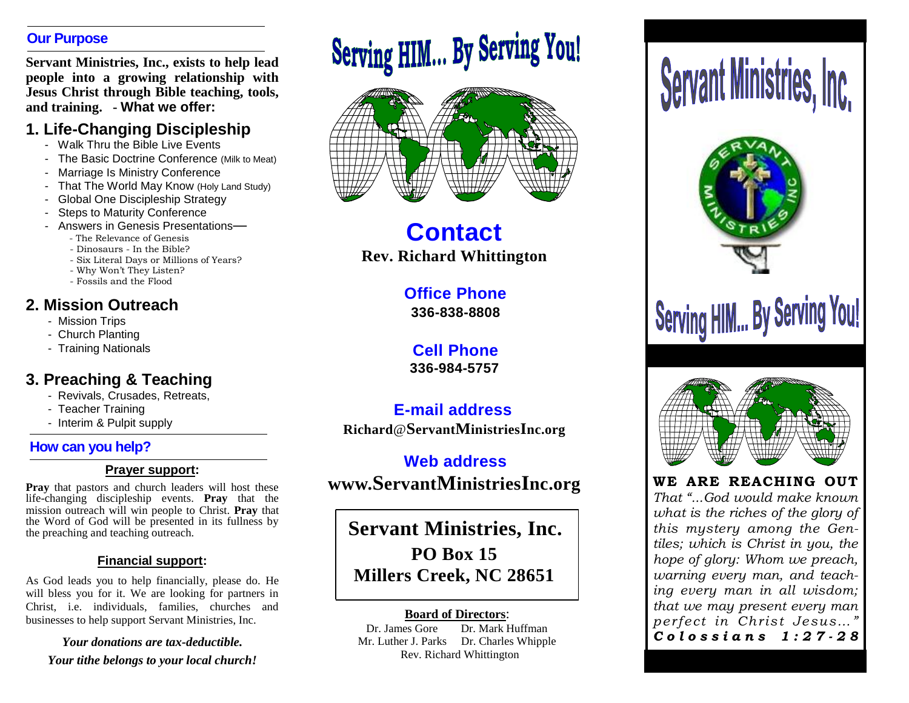### **Our Purpose**

**Servant Ministries, Inc., exists to help lead people into a growing relationship with Jesus Christ through Bible teaching, tools, and training. - What we offer:**

### **1. Life-Changing Discipleship**

- Walk Thru the Bible Live Events
- The Basic Doctrine Conference (Milk to Meat)
- Marriage Is Ministry Conference
- That The World May Know (Holy Land Study)
- Global One Discipleship Strategy
- Steps to Maturity Conference
- Answers in Genesis Presentations—
	- The Relevance of Genesis
	- Dinosaurs In the Bible?
	- Six Literal Days or Millions of Years?
	- Why Won't They Listen?
	- Fossils and the Flood

### **2. Mission Outreach**

- Mission Trips
- Church Planting
- Training Nationals

### **3. Preaching & Teaching**

- Revivals, Crusades, Retreats,
- Teacher Training
- Interim & Pulpit supply

### **How can you help?**

### **Prayer support:**

**Pray** that pastors and church leaders will host these life-changing discipleship events. **Pray** that the mission outreach will win people to Christ. **Pray** that the Word of God will be presented in its fullness by the preaching and teaching outreach.

### **Financial support:**

As God leads you to help financially, please do. He will bless you for it. We are looking for partners in Christ, i.e. individuals, families, churches and businesses to help support Servant Ministries, Inc.

*Your donations are tax-deductible. Your tithe belongs to your local church!*

## Serving HIM... By Serving You!



**Contact Rev. Richard Whittington**

### **Office Phone**

**336-838-8808**

**Cell Phone 336-984-5757**

### **E-mail address Richard**@**ServantMinistriesInc.org**

**Web address www.ServantMinistriesInc.org WE ARE REACHING OUT** 

**Servant Ministries, Inc. PO Box 15 Millers Creek, NC 28651**

### **Board of Directors**:

Dr. James Gore Dr. Mark Huffman Mr. Luther J. Parks Dr. Charles Whipple Rev. Richard Whittington

# **Serving HIM... By Serving You!**



### *That "...God would make known what is the riches of the glory of this mystery among the Gentiles; which is Christ in you, the hope of glory: Whom we preach, warning every man, and teaching every man in all wisdom; that we may present every man perfect in Christ Jesus…" C o l o s s i a n s 1 : 2 7 - 2 8*